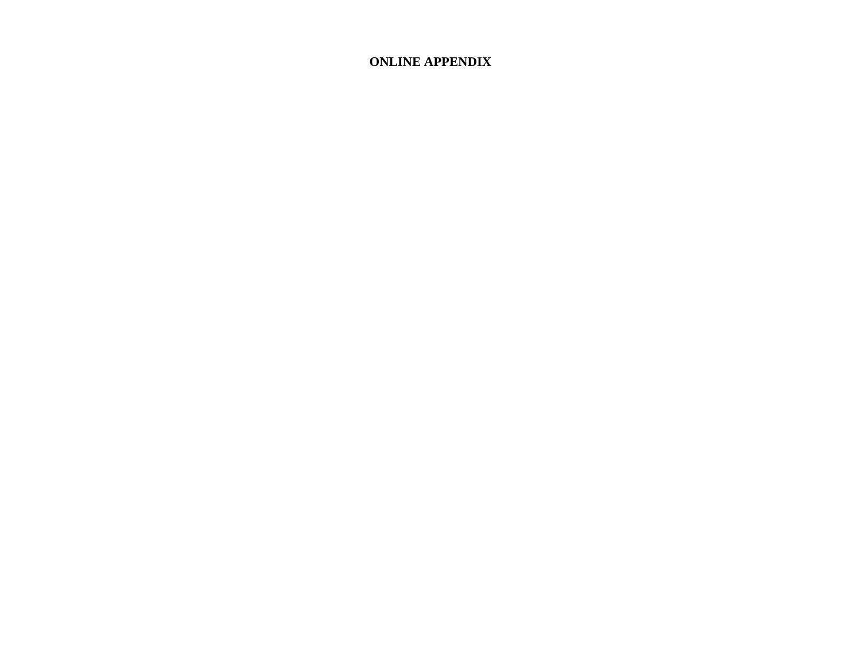## **ONLINE APPENDIX**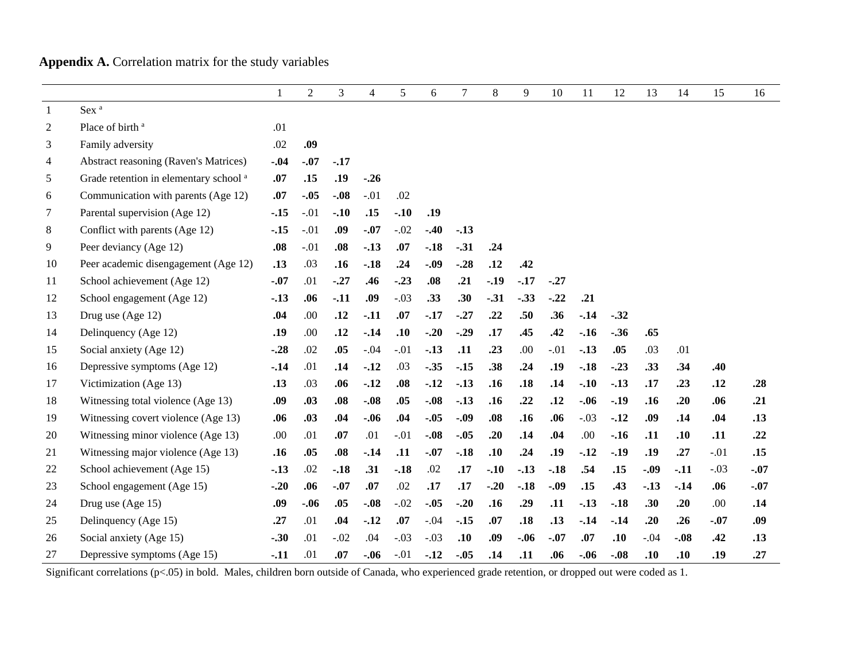## **Appendix A.** Correlation matrix for the study variables

|                |                                                   | 1      | $\overline{2}$ | 3      | $\overline{4}$ | 5      | 6      | $\overline{7}$ | 8      | 9      | 10     | 11     | 12     | 13     | 14     | 15     | 16     |
|----------------|---------------------------------------------------|--------|----------------|--------|----------------|--------|--------|----------------|--------|--------|--------|--------|--------|--------|--------|--------|--------|
| -1             | Sex <sup>a</sup>                                  |        |                |        |                |        |        |                |        |        |        |        |        |        |        |        |        |
| $\mathfrak{2}$ | Place of birth <sup>a</sup>                       | .01    |                |        |                |        |        |                |        |        |        |        |        |        |        |        |        |
| 3              | Family adversity                                  | .02    | .09            |        |                |        |        |                |        |        |        |        |        |        |        |        |        |
| 4              | <b>Abstract reasoning (Raven's Matrices)</b>      | $-.04$ | $-.07$         | $-.17$ |                |        |        |                |        |        |        |        |        |        |        |        |        |
| 5              | Grade retention in elementary school <sup>a</sup> | .07    | .15            | .19    | $-.26$         |        |        |                |        |        |        |        |        |        |        |        |        |
| 6              | Communication with parents (Age 12)               | .07    | $-.05$         | $-.08$ | $-.01$         | .02    |        |                |        |        |        |        |        |        |        |        |        |
| 7              | Parental supervision (Age 12)                     | $-15$  | $-.01$         | $-.10$ | .15            | $-.10$ | .19    |                |        |        |        |        |        |        |        |        |        |
| 8              | Conflict with parents (Age 12)                    | $-15$  | $-.01$         | .09    | $-.07$         | $-.02$ | $-.40$ | $-.13$         |        |        |        |        |        |        |        |        |        |
| 9              | Peer deviancy (Age 12)                            | .08    | $-.01$         | .08    | $-.13$         | .07    | $-.18$ | $-.31$         | .24    |        |        |        |        |        |        |        |        |
| 10             | Peer academic disengagement (Age 12)              | .13    | .03            | .16    | $-.18$         | .24    | $-.09$ | $-.28$         | .12    | .42    |        |        |        |        |        |        |        |
| 11             | School achievement (Age 12)                       | $-.07$ | .01            | $-.27$ | .46            | $-.23$ | .08    | .21            | $-.19$ | $-.17$ | $-.27$ |        |        |        |        |        |        |
| 12             | School engagement (Age 12)                        | $-.13$ | .06            | $-.11$ | .09            | $-.03$ | .33    | .30            | $-.31$ | $-.33$ | $-.22$ | .21    |        |        |        |        |        |
| 13             | Drug use (Age 12)                                 | .04    | .00            | .12    | $-.11$         | .07    | $-.17$ | $-.27$         | .22    | .50    | .36    | $-.14$ | $-.32$ |        |        |        |        |
| 14             | Delinquency (Age 12)                              | .19    | .00            | .12    | $-14$          | .10    | $-.20$ | $-.29$         | .17    | .45    | .42    | $-.16$ | $-.36$ | .65    |        |        |        |
| 15             | Social anxiety (Age 12)                           | $-.28$ | .02            | .05    | $-.04$         | $-.01$ | $-.13$ | .11            | .23    | .00    | $-.01$ | $-.13$ | .05    | .03    | .01    |        |        |
| 16             | Depressive symptoms (Age 12)                      | $-14$  | .01            | .14    | $-.12$         | .03    | $-.35$ | $-.15$         | .38    | .24    | .19    | $-.18$ | $-.23$ | .33    | .34    | .40    |        |
| 17             | Victimization (Age 13)                            | .13    | .03            | .06    | $-.12$         | .08    | $-.12$ | $-.13$         | .16    | .18    | .14    | $-.10$ | $-.13$ | .17    | .23    | .12    | .28    |
| 18             | Witnessing total violence (Age 13)                | .09    | .03            | .08    | $-.08$         | .05    | $-.08$ | $-.13$         | .16    | .22    | .12    | $-.06$ | $-.19$ | .16    | .20    | .06    | .21    |
| 19             | Witnessing covert violence (Age 13)               | .06    | .03            | .04    | $-.06$         | .04    | $-.05$ | $-.09$         | .08    | .16    | .06    | $-.03$ | $-.12$ | .09    | .14    | .04    | .13    |
| 20             | Witnessing minor violence (Age 13)                | .00    | .01            | .07    | .01            | $-.01$ | $-.08$ | $-.05$         | .20    | .14    | .04    | .00    | $-.16$ | .11    | .10    | .11    | .22    |
| 21             | Witnessing major violence (Age 13)                | .16    | .05            | .08    | $-.14$         | .11    | $-.07$ | $-.18$         | .10    | .24    | .19    | $-.12$ | $-.19$ | .19    | .27    | $-.01$ | .15    |
| 22             | School achievement (Age 15)                       | $-13$  | .02            | $-.18$ | .31            | $-.18$ | .02    | .17            | $-.10$ | $-.13$ | $-.18$ | .54    | .15    | $-.09$ | $-.11$ | $-.03$ | $-.07$ |
| 23             | School engagement (Age 15)                        | $-.20$ | .06            | $-.07$ | .07            | .02    | .17    | .17            | $-.20$ | $-.18$ | $-.09$ | .15    | .43    | $-.13$ | $-.14$ | .06    | $-.07$ |
| 24             | Drug use (Age 15)                                 | .09    | $-.06$         | .05    | $-.08$         | $-.02$ | $-.05$ | $-.20$         | .16    | .29    | .11    | $-13$  | $-.18$ | .30    | .20    | .00.   | .14    |
| 25             | Delinquency (Age 15)                              | .27    | .01            | .04    | $-.12$         | .07    | $-.04$ | $-.15$         | .07    | .18    | .13    | $-.14$ | $-14$  | .20    | .26    | $-.07$ | .09    |
| 26             | Social anxiety (Age 15)                           | $-.30$ | .01            | $-.02$ | .04            | $-.03$ | $-.03$ | .10            | .09    | $-.06$ | $-.07$ | .07    | .10    | $-.04$ | $-.08$ | .42    | .13    |
| 27             | Depressive symptoms (Age 15)                      | $-.11$ | .01            | .07    | $-.06$         | $-.01$ | $-.12$ | $-.05$         | .14    | .11    | .06    | $-.06$ | $-.08$ | .10    | .10    | .19    | .27    |

Significant correlations (p<.05) in bold. Males, children born outside of Canada, who experienced grade retention, or dropped out were coded as 1.